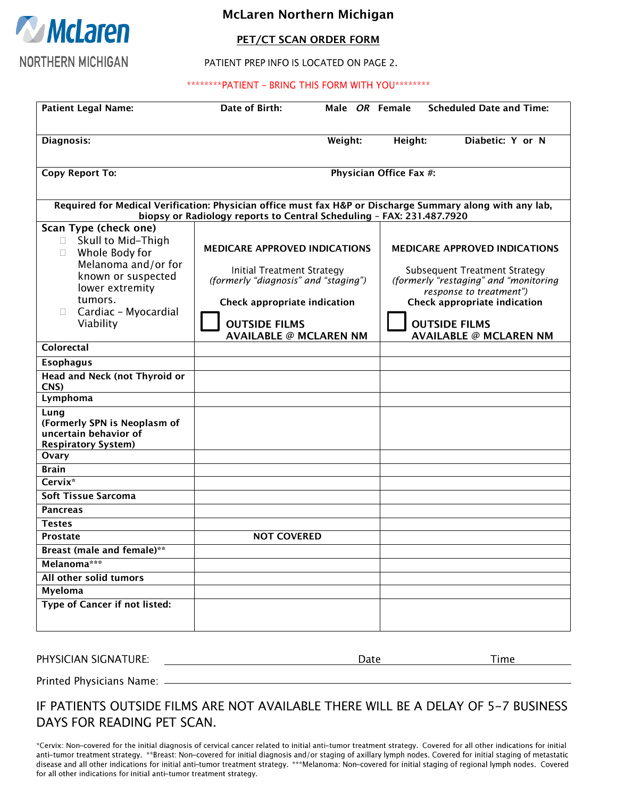

## **McLaren Northern Michigan**

#### **PET/CT SCAN ORDER FORM**

PATIENT PREP INFO IS LOCATED ON PAGE 2.

#### \*\*\*\*\*\*\*\*PATIENT - BRING THIS FORM WITH YOU\*\*\*\*\*\*\*\*

| <b>Patient Legal Name:</b>                                                                                                                                                                      | Date of Birth:                                                                                                                                                     | Male OR Female |         | <b>Scheduled Date and Time:</b>                                                                                                                                                                   |
|-------------------------------------------------------------------------------------------------------------------------------------------------------------------------------------------------|--------------------------------------------------------------------------------------------------------------------------------------------------------------------|----------------|---------|---------------------------------------------------------------------------------------------------------------------------------------------------------------------------------------------------|
| Diagnosis:                                                                                                                                                                                      |                                                                                                                                                                    | Weight:        | Height: | Diabetic: Y or N                                                                                                                                                                                  |
| <b>Copy Report To:</b>                                                                                                                                                                          | Physician Office Fax #:                                                                                                                                            |                |         |                                                                                                                                                                                                   |
| Required for Medical Verification: Physician office must fax H&P or Discharge Summary along with any lab,<br>biopsy or Radiology reports to Central Scheduling - FAX: 231.487.7920              |                                                                                                                                                                    |                |         |                                                                                                                                                                                                   |
| Scan Type (check one)<br>Skull to Mid-Thigh<br>П.<br>Whole Body for<br>П.<br>Melanoma and/or for<br>known or suspected<br>lower extremity<br>tumors.<br>Cardiac - Myocardial<br>П.<br>Viability | <b>MEDICARE APPROVED INDICATIONS</b><br>Initial Treatment Strategy<br>(formerly "diagnosis" and "staging")<br>Check appropriate indication<br><b>OUTSIDE FILMS</b> |                |         | <b>MEDICARE APPROVED INDICATIONS</b><br>Subsequent Treatment Strategy<br>(formerly "restaging" and "monitoring<br>response to treatment")<br>Check appropriate indication<br><b>OUTSIDE FILMS</b> |
| Colorectal                                                                                                                                                                                      | <b>AVAILABLE @ MCLAREN NM</b>                                                                                                                                      |                |         | <b>AVAILABLE @ MCLAREN NM</b>                                                                                                                                                                     |
| <b>Esophagus</b>                                                                                                                                                                                |                                                                                                                                                                    |                |         |                                                                                                                                                                                                   |
| <b>Head and Neck (not Thyroid or</b><br>CNS)                                                                                                                                                    |                                                                                                                                                                    |                |         |                                                                                                                                                                                                   |
| Lymphoma                                                                                                                                                                                        |                                                                                                                                                                    |                |         |                                                                                                                                                                                                   |
| Lung<br>(Formerly SPN is Neoplasm of<br>uncertain behavior of<br><b>Respiratory System)</b>                                                                                                     |                                                                                                                                                                    |                |         |                                                                                                                                                                                                   |
| Ovary                                                                                                                                                                                           |                                                                                                                                                                    |                |         |                                                                                                                                                                                                   |
| <b>Brain</b>                                                                                                                                                                                    |                                                                                                                                                                    |                |         |                                                                                                                                                                                                   |
| Cervix*                                                                                                                                                                                         |                                                                                                                                                                    |                |         |                                                                                                                                                                                                   |
| Soft Tissue Sarcoma                                                                                                                                                                             |                                                                                                                                                                    |                |         |                                                                                                                                                                                                   |
| <b>Pancreas</b>                                                                                                                                                                                 |                                                                                                                                                                    |                |         |                                                                                                                                                                                                   |
| <b>Testes</b>                                                                                                                                                                                   |                                                                                                                                                                    |                |         |                                                                                                                                                                                                   |
| <b>Prostate</b>                                                                                                                                                                                 | <b>NOT COVERED</b>                                                                                                                                                 |                |         |                                                                                                                                                                                                   |
| Breast (male and female)**                                                                                                                                                                      |                                                                                                                                                                    |                |         |                                                                                                                                                                                                   |
| Melanoma***                                                                                                                                                                                     |                                                                                                                                                                    |                |         |                                                                                                                                                                                                   |
| All other solid tumors                                                                                                                                                                          |                                                                                                                                                                    |                |         |                                                                                                                                                                                                   |
| <b>Myeloma</b>                                                                                                                                                                                  |                                                                                                                                                                    |                |         |                                                                                                                                                                                                   |
| <b>Type of Cancer if not listed:</b>                                                                                                                                                            |                                                                                                                                                                    |                |         |                                                                                                                                                                                                   |
|                                                                                                                                                                                                 |                                                                                                                                                                    |                |         |                                                                                                                                                                                                   |

PHYSICIAN SIGNATURE:

Date

Time

Printed Physicians Name: \_\_\_\_\_

## IF PATIENTS OUTSIDE FILMS ARE NOT AVAILABLE THERE WILL BE A DELAY OF 5-7 BUSINESS DAYS FOR READING PET SCAN.

\*Cervix: Non-covered for the initial diagnosis of cervical cancer related to initial anti-tumor treatment strategy. Covered for all other indications for initial anti-tumor treatment strategy. \*\*Breast: Non-covered for initial diagnosis and/or staging of axillary lymph nodes. Covered for initial staging of metastatic disease and all other indications for initial anti-tumor treatment strategy. \*\*\*Melanoma: Non-covered for initial staging of regional lymph nodes. Covered for all other indications for initial anti-tumor treatment strategy.